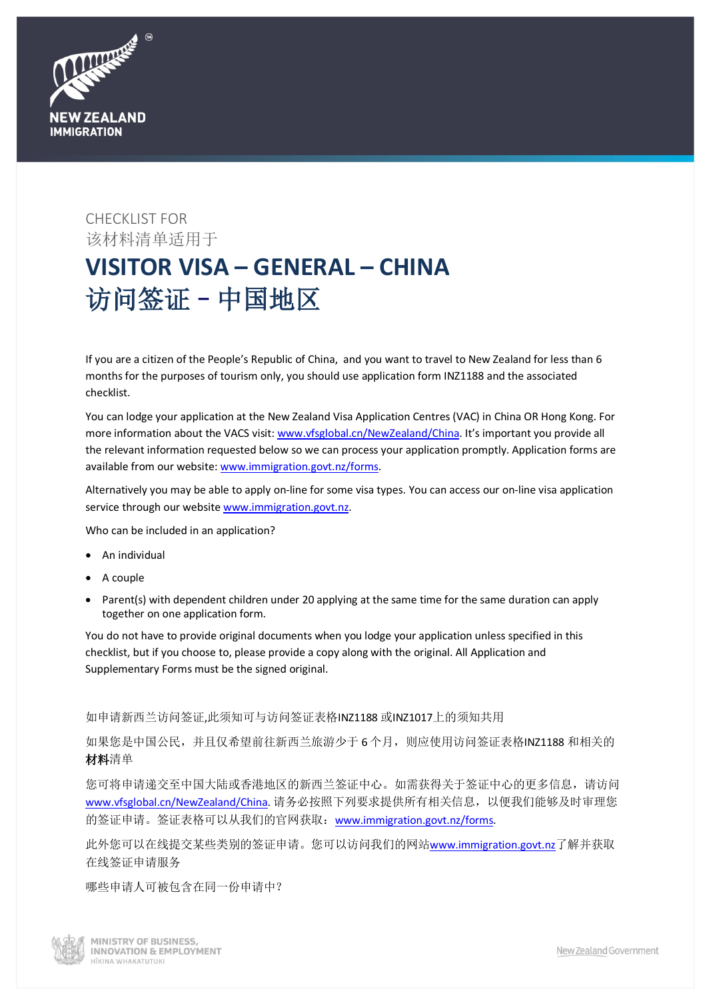

## CHECKLIST FOR 该材料清单适用于 **VISITOR VISA – GENERAL – CHINA** 访问签证–中国地区

If you are a citizen of the People's Republic of China, and you want to travel to New Zealand for less than 6 months for the purposes of tourism only, you should use application form INZ1188 and the associated checklist.

You can lodge your application at the New Zealand Visa Application Centres (VAC) in China OR Hong Kong. For more information about the VACS visit: [www.vfsglobal.cn/NewZealand/China.](http://www.vfsglobal.cn/NewZealand/China/) It's important you provide all the relevant information requested below so we can process your application promptly. Application forms are available from our website[: www.immigration.govt.nz/forms.](http://www.immigration.govt.nz/forms)

Alternatively you may be able to apply on-line for some visa types. You can access our on-line visa application service through our website [www.immigration.govt.nz.](http://www.immigration.govt.nz/)

Who can be included in an application?

- An individual
- A couple
- Parent(s) with dependent children under 20 applying at the same time for the same duration can apply together on one application form.

You do not have to provide original documents when you lodge your application unless specified in this checklist, but if you choose to, please provide a copy along with the original. All Application and Supplementary Forms must be the signed original.

如申请新西兰访问签证,此须知可与访问签证表格INZ1188 或INZ1017上的须知共用

如果您是中国公民,并且仅希望前往新西兰旅游少于 6 个月,则应使用访问签证表格INZ1188 和相关的 材料清单

您可将申请递交至中国大陆或香港地区的新西兰签证中心。如需获得关于签证中心的更多信息,请访问 [www.vfsglobal.cn/NewZealand/China.](http://www.vfsglobal.cn/NewZealand/China/) 请务必按照下列要求提供所有相关信息,以便我们能够及时审理您 的签证申请。签证表格可以从我们的官网获取: [www.immigration.govt.nz/forms.](http://www.immigration.govt.nz/forms)

此外您可以在线提交某些类别的签证申请。您可以访问我们的网站[www.immigration.govt.nz](http://www.immigration.govt.nz/)了解并获取 在线签证申请服务

哪些申请人可被包含在同一份申请中?

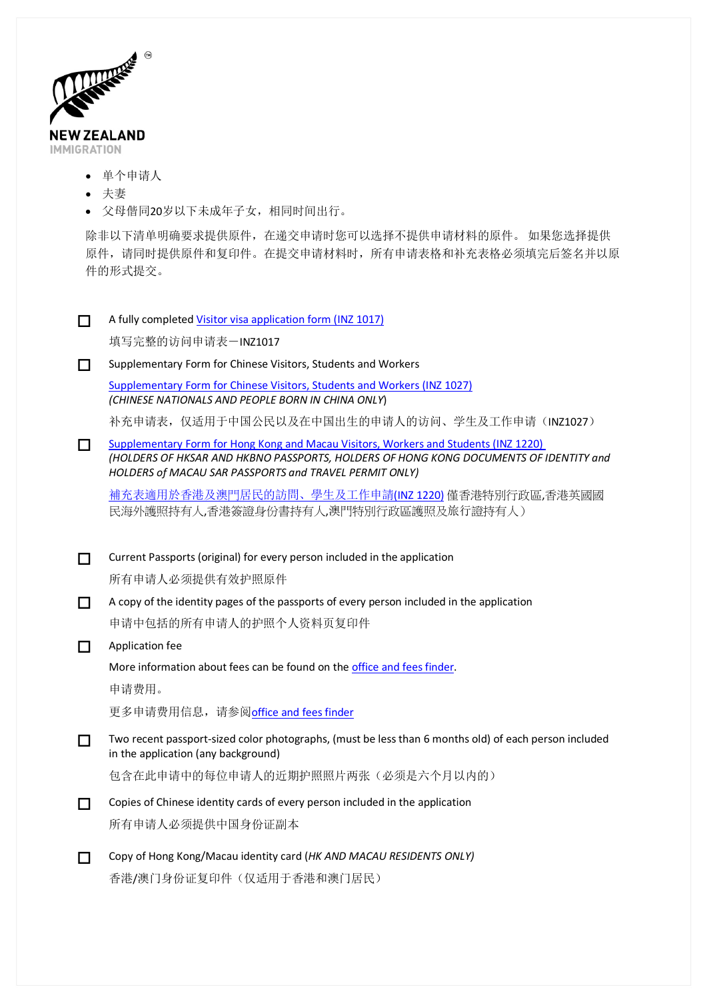

- 单个申请人
- 夫妻
- 父母偕同20岁以下未成年子女,相同时间出行。

除非以下清单明确要求提供原件,在递交申请时您可以选择不提供申请材料的原件。 如果您选择提供 原件,请同时提供原件和复印件。在提交申请材料时,所有申请表格和补充表格必须填完后签名并以原 件的形式提交。

|              | A fully completed Visitor visa application form (INZ 1017)                                                                                                                                                                              |  |  |
|--------------|-----------------------------------------------------------------------------------------------------------------------------------------------------------------------------------------------------------------------------------------|--|--|
|              | 填写完整的访问申请表一INZ1017                                                                                                                                                                                                                      |  |  |
| $\mathsf{L}$ | Supplementary Form for Chinese Visitors, Students and Workers                                                                                                                                                                           |  |  |
|              | Supplementary Form for Chinese Visitors, Students and Workers (INZ 1027)<br>(CHINESE NATIONALS AND PEOPLE BORN IN CHINA ONLY)                                                                                                           |  |  |
|              | 补充申请表, 仅适用于中国公民以及在中国出生的申请人的访问、学生及工作申请(INZ1027)                                                                                                                                                                                          |  |  |
| П            | Supplementary Form for Hong Kong and Macau Visitors, Workers and Students (INZ 1220)<br>(HOLDERS OF HKSAR AND HKBNO PASSPORTS, HOLDERS OF HONG KONG DOCUMENTS OF IDENTITY and<br>HOLDERS of MACAU SAR PASSPORTS and TRAVEL PERMIT ONLY) |  |  |
|              | 補充表適用於香港及澳門居民的訪問、學生及工作申請(INZ 1220)僅香港特別行政區,香港英國國<br>民海外護照持有人,香港簽證身份書持有人,澳門特別行政區護照及旅行證持有人)                                                                                                                                               |  |  |
| П            | Current Passports (original) for every person included in the application                                                                                                                                                               |  |  |
|              | 所有申请人必须提供有效护照原件                                                                                                                                                                                                                         |  |  |
| П            | A copy of the identity pages of the passports of every person included in the application                                                                                                                                               |  |  |
|              | 申请中包括的所有申请人的护照个人资料页复印件                                                                                                                                                                                                                  |  |  |
| П            | Application fee                                                                                                                                                                                                                         |  |  |
|              | More information about fees can be found on the office and fees finder.                                                                                                                                                                 |  |  |
|              | 申请费用。                                                                                                                                                                                                                                   |  |  |
|              | 更多申请费用信息, 请参阅office and fees finder                                                                                                                                                                                                     |  |  |
| П            | Two recent passport-sized color photographs, (must be less than 6 months old) of each person included<br>in the application (any background)                                                                                            |  |  |
|              | 包含在此申请中的每位申请人的近期护照照片两张(必须是六个月以内的)                                                                                                                                                                                                       |  |  |
| П            | Copies of Chinese identity cards of every person included in the application                                                                                                                                                            |  |  |
|              | 所有申请人必须提供中国身份证副本                                                                                                                                                                                                                        |  |  |
| $\mathsf{L}$ | Copy of Hong Kong/Macau identity card (HK AND MACAU RESIDENTS ONLY)                                                                                                                                                                     |  |  |
|              | 香港/澳门身份证复印件(仅适用于香港和澳门居民)                                                                                                                                                                                                                |  |  |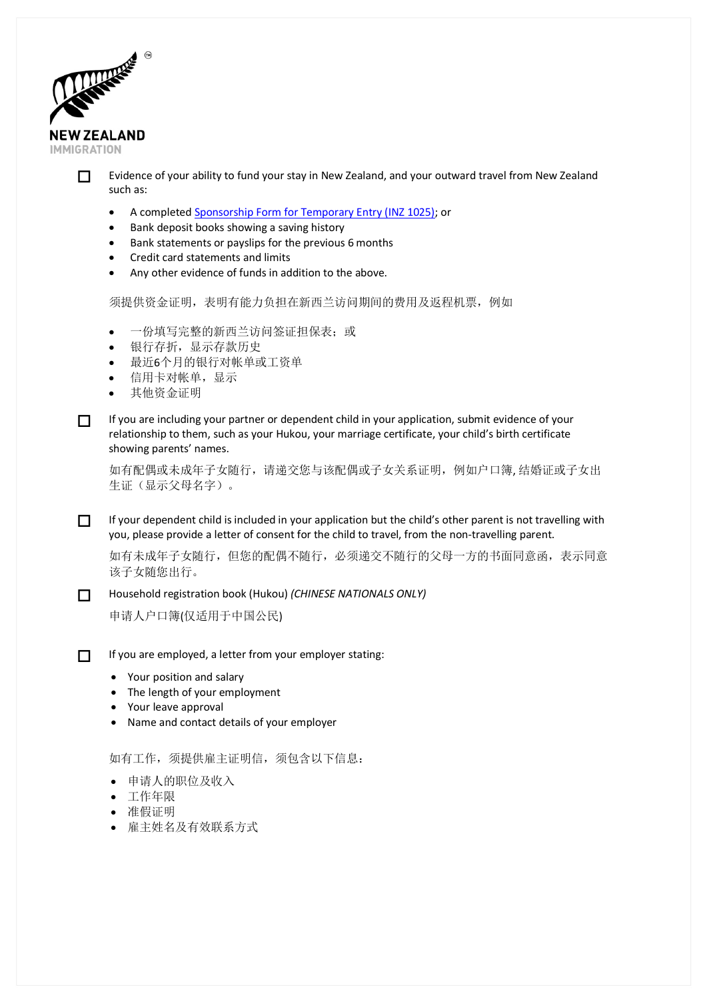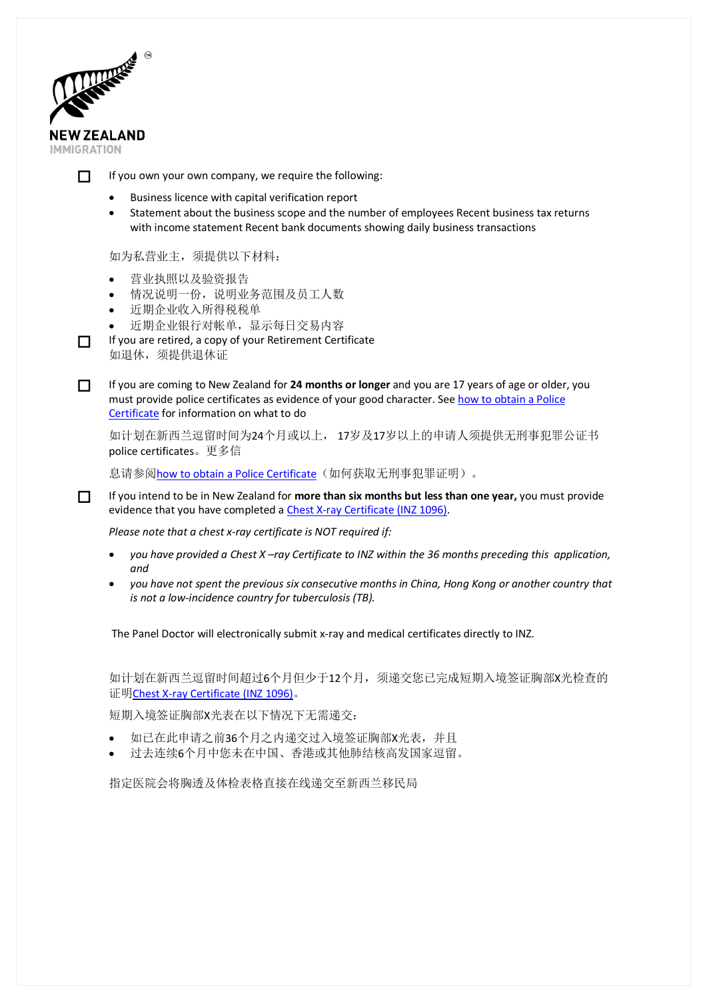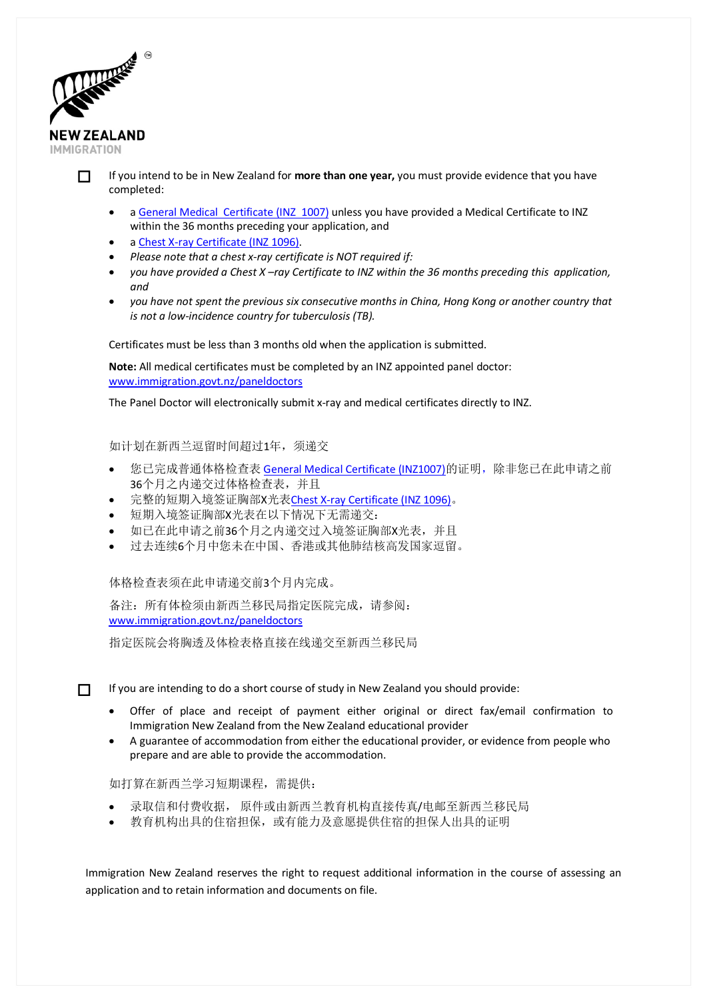

 If you intend to be in New Zealand for **more than one year,** you must provide evidence that you have completed:

- [a General Medical Certificate](https://www.immigration.govt.nz/documents/forms-and-guides/inz1007.pdf) (INZ 1007) unless you have provided a Medical Certificate to INZ within the 36 months preceding your application, and
- a [Chest X-ray Certificate \(INZ 1096\).](https://www.immigration.govt.nz/documents/forms-and-guides/inz1096.pdf)
- *Please note that a chest x-ray certificate is NOT required if:*
- *you have provided a Chest X –ray Certificate to INZ within the 36 months preceding this application, and*
- *you have not spent the previous six consecutive months in China, Hong Kong or another country that is not a low-incidence country for tuberculosis (TB).*

Certificates must be less than 3 months old when the application is submitted.

**Note:** All medical certificates must be completed by an INZ appointed panel doctor: [www.immigration.govt.nz/paneldoctors](http://www.immigration.govt.nz/paneldoctors)

The Panel Doctor will electronically submit x-ray and medical certificates directly to INZ.

如计划在新西兰逗留时间超过1年,须递交

- 您已完成普通体格检查表 [General Medical Certificate](https://www.immigration.govt.nz/documents/forms-and-guides/inz1007.pdf) (INZ1007)的证明, 除非您已在此申请之前 36个月之内递交过体格检查表,并且
- 完整的短期入境签证胸部X光表[Chest X-ray Certificate \(INZ 1096\)](https://www.immigration.govt.nz/documents/forms-and-guides/inz1096.pdf)。
- 短期入境签证胸部X光表在以下情况下无需递交:
- 如已在此申请之前36个月之内递交过入境签证胸部X光表,并且
- 过去连续6个月中您未在中国、香港或其他肺结核高发国家逗留。

体格检查表须在此申请递交前3个月内完成。

备注:所有体检须由新西兰移民局指定医院完成,请参阅: [www.immigration.govt.nz/paneldoctors](http://www.immigration.govt.nz/paneldoctors)

指定医院会将胸透及体检表格直接在线递交至新西兰移民局

 $\Box$  If you are intending to do a short course of study in New Zealand you should provide:

- Offer of place and receipt of payment either original or direct fax/email confirmation to Immigration New Zealand from the New Zealand educational provider
- A guarantee of accommodation from either the educational provider, or evidence from people who prepare and are able to provide the accommodation.

如打算在新西兰学习短期课程,需提供:

- 录取信和付费收据, 原件或由新西兰教育机构直接传真/电邮至新西兰移民局
- 教育机构出具的住宿担保,或有能力及意愿提供住宿的担保人出具的证明

Immigration New Zealand reserves the right to request additional information in the course of assessing an application and to retain information and documents on file.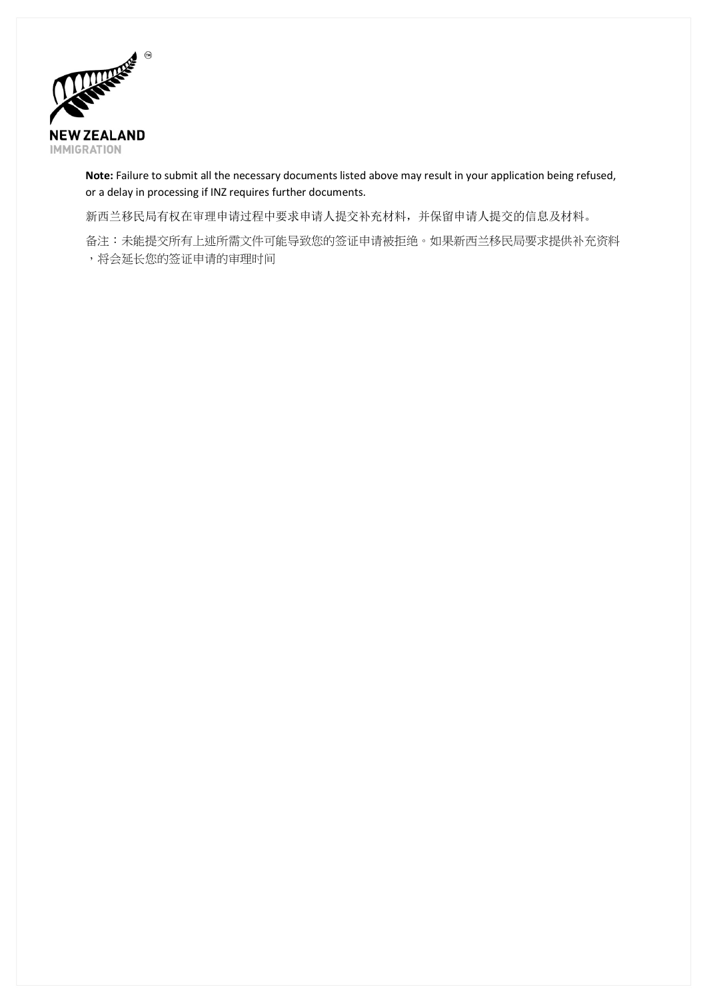

**Note:** Failure to submit all the necessary documents listed above may result in your application being refused, or a delay in processing if INZ requires further documents.

新西兰移民局有权在审理申请过程中要求申请人提交补充材料,并保留申请人提交的信息及材料。

备注:未能提交所有上述所需文件可能导致您的签证申请被拒绝。如果新西兰移民局要求提供补充资料 ,将会延长您的签证申请的审理时间